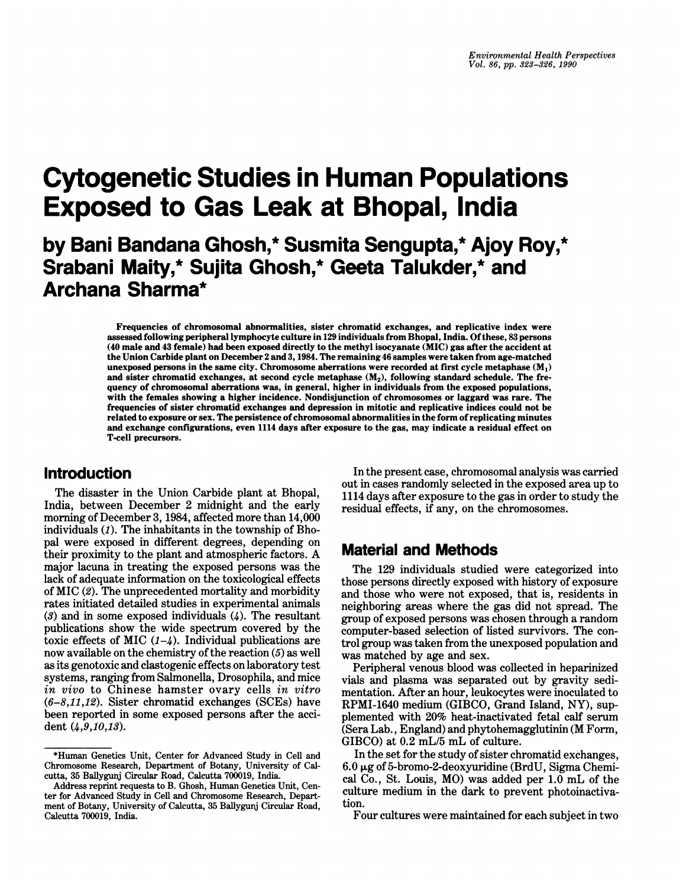# Cytogenetic Studies in Human Populations Exposed to Gas Leak at Bhopal, India

## by Bani Bandana Ghosh,\* Susmita Sengupta,\* Ajoy Roy,\* Srabani Maity,\* Sujita Ghosh,\* Geeta Talukder,\* and Archana Sharma\*

Frequencies of chromosomal abnormalities, sister chromatid exchanges, and replicative index were assessed following peripheral lymphocyte culture in 129 individuals from Bhopal, India. Ofthese, 83 persons (40 male and 43 female) had been exposed directly to the methyl isocyanate (MIC) gas after the accident at the Union Carbide plant on December 2 and 3,1984. The remaining 46 samples were taken from age-matched unexposed persons in the same city. Chromosome aberrations were recorded at first cycle metaphase  $(M_1)$ and sister chromatid exchanges, at second cycle metaphase  $(M_2)$ , following standard schedule. The frequency of chromosomal aberrations was, in general, higher in individuals from the exposed populations, with the females showing a higher incidence. Nondisjunction of chromosomes or laggard was rare. The frequencies of sister chromatid exchanges and depression in mitotic and replicative indices could not be related to exposure or sex. The persistence of chromosomal abnormalities in the form of replicating minutes and exchange configurations, even 1114 days after exposure to the gas, may indicate a residual effect on T-cell precursors.

#### Introduction

The disaster in the Union Carbide plant at Bhopal, India, between December 2 midnight and the early morning of December 3, 1984, affected more than 14,000 individuals (1). The inhabitants in the township of Bhopal were exposed in different degrees, depending on their proximity to the plant and atmospheric factors. A major lacuna in treating the exposed persons was the lack of adequate information on the toxicological effects of MIC (2). The unprecedented mortality and morbidity rates initiated detailed studies in experimental animals  $(3)$  and in some exposed individuals  $(4)$ . The resultant publications show the wide spectrum covered by the toxic effects of MIC  $(1-4)$ . Individual publications are now available on the chemistry of the reaction (5) as well as its genotoxic and clastogenic effects on laboratory test systems, ranging from Salmonella, Drosophila, and mice in vivo to Chinese hamster ovary cells in vitro  $(6-8,11,12)$ . Sister chromatid exchanges (SCEs) have been reported in some exposed persons after the accident (4,9,10,13).

In the present case, chromosomal analysis was carried out in cases randomly selected in the exposed area up to 1114 days after exposure to the gas in order to study the residual effects, if any, on the chromosomes.

### Material and Methods

The 129 individuals studied were categorized into those persons directly exposed with history of exposure and those who were not exposed, that is, residents in neighboring areas where the gas did not spread. The group of exposed persons was chosen through a random computer-based selection of listed survivors. The control group was taken from the unexposed population and was matched by age and sex.

Peripheral venous blood was collected in heparinized vials and plasma was separated out by gravity sedimentation. After an hour, leukocytes were inoculated to RPMI-1640 medium (GIBCO, Grand Island, NY), supplemented with 20% heat-inactivated fetal calf serum (Sera Lab., England) and phytohemagglutinin (M Form, GIBCO) at 0.2 mL/5 mL of culture.

Four cultures were maintained for each subject in two

<sup>\*</sup>Human Genetics Unit, Center for Advanced Study in Cell and Chromosome Research, Department of Botany, University of Calcutta, 35 Ballygunj Circular Road, Calcutta 700019, India.

Address reprint requests to B. Ghosh, Human Genetics Unit, Center for Advanced Study in Cell and Chromosome Research, Department of Botany, University of Calcutta, 35 Ballygunj Circular Road, Calcutta 700019, India.

In the set for the study of sister chromatid exchanges,  $6.0 \,\mu$ g of 5-bromo-2-deoxyuridine (BrdU, Sigma Chemical Co., St. Louis, MO) was added per 1.0 mL of the culture medium in the dark to prevent photoinactivation.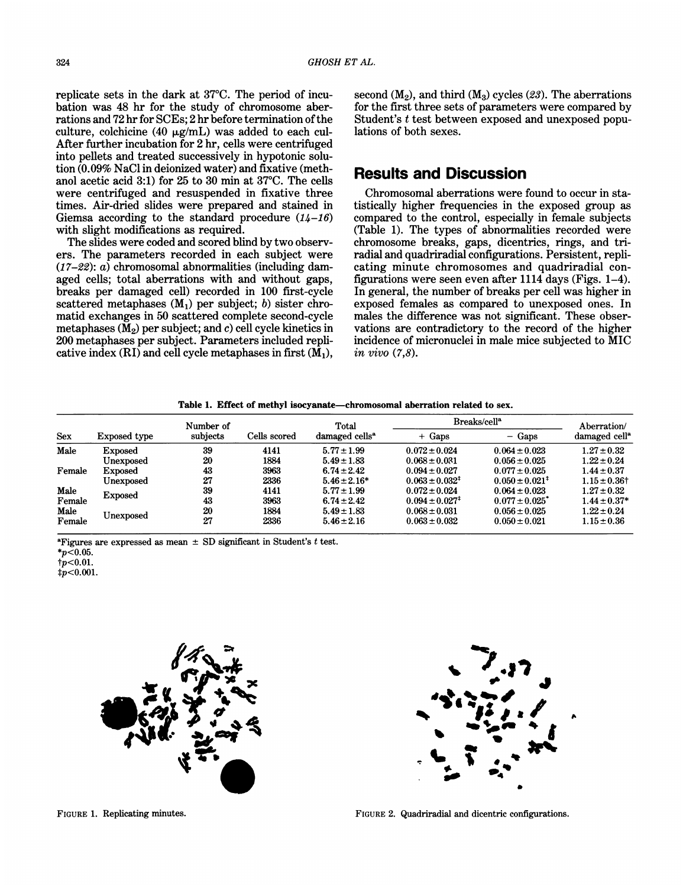replicate sets in the dark at 37°C. The period of incubation was 48 hr for the study of chromosome aberrations and 72 hr for SCEs; 2 hr before termination of the culture, colchicine (40  $\mu$ g/mL) was added to each cul-After further incubation for 2 hr, cells were centrifuged into pellets and treated successively in hypotonic solution (0.09% NaCl in deionized water) and fixative (methanol acetic acid 3:1) for 25 to 30 min at 37°C. The cells were centrifuged and resuspended in fixative three times. Air-dried slides were prepared and stained in Giemsa according to the standard procedure  $(14-16)$ with slight modifications as required.

The slides were coded and scored blind by two observers. The parameters recorded in each subject were  $(17-22)$ :  $\alpha$ ) chromosomal abnormalities (including damaged cells; total aberrations with and without gaps, breaks per damaged cell) recorded in 100 first-cycle scattered metaphases  $(M_1)$  per subject; b) sister chromatid exchanges in 50 scattered complete second-cycle metaphases ( $\tilde{M}_2$ ) per subject; and c) cell cycle kinetics in 200 metaphases per subject. Parameters included replicative index  $(RI)$  and cell cycle metaphases in first  $(\overline{M}_1)$ ,

#### Results and Discussion

Chromosomal aberrations were found to occur in statistically higher frequencies in the exposed group as compared to the control, especially in female subjects (Table 1). The types of abnormalities recorded were chromosome breaks, gaps, dicentrics, rings, and triradial and quadriradial configurations. Persistent, replicating minute chromosomes and quadriradial configurations were seen even after 1114 days (Figs. 1-4). In general, the number of breaks per cell was higher in exposed females as compared to unexposed ones. In males the difference was not significant. These observations are contradictory to the record of the higher incidence of micronuclei in male mice subjected to MIC in vivo (7,8).

Table 1. Effect of methyl isocyanate-chromosomal aberration related to sex.

| <b>Sex</b>     | Exposed type   | Number of                |      | Total                      | Breaks/cell <sup>a</sup>     | Aberration/                    |                              |
|----------------|----------------|--------------------------|------|----------------------------|------------------------------|--------------------------------|------------------------------|
|                |                | subjects<br>Cells scored |      | damaged cells <sup>a</sup> | $+$ Gaps                     | $-$ Gaps                       | damaged cell <sup>a</sup>    |
| Male           | Exposed        | 39                       | 4141 | $5.77 \pm 1.99$            | $0.072 \pm 0.024$            | $0.064 \pm 0.023$              | $1.27 \pm 0.32$              |
|                | Unexposed      | 20                       | 1884 | $5.49 \pm 1.83$            | $0.068 \pm 0.031$            | $0.056 \pm 0.025$              | $1.22 \pm 0.24$              |
| Female         | <b>Exposed</b> | 43                       | 3963 | $6.74 \pm 2.42$            | $0.094 \pm 0.027$            | $0.077 \pm 0.025$              | $1.44 \pm 0.37$              |
|                | Unexposed      | 27                       | 2336 | $5.46 \pm 2.16*$           | $0.063 \pm 0.032^{\ddagger}$ | $0.050 \pm 0.021^*$            | $1.15 \pm 0.36$ <sup>+</sup> |
| Male<br>Female | <b>Exposed</b> | 39                       | 4141 | $5.77 \pm 1.99$            | $0.072 \pm 0.024$            | $0.064 \pm 0.023$              | $1.27 \pm 0.32$              |
|                |                | 43                       | 3963 | $6.74 \pm 2.42$            | $0.094 \pm 0.027^{\ddagger}$ | $0.077 \pm 0.025$ <sup>*</sup> | $1.44 \pm 0.37*$             |
| Male           | Unexposed      | 20                       | 1884 | $5.49 \pm 1.83$            | $0.068 \pm 0.031$            | $0.056 \pm 0.025$              | $1.22 \pm 0.24$              |
| Female         |                | 27                       | 2336 | $5.46 \pm 2.16$            | $0.063 \pm 0.032$            | $0.050 \pm 0.021$              | $1.15 \pm 0.36$              |

<sup>a</sup>Figures are expressed as mean  $\pm$  SD significant in Student's t test.

 $\frac{1}{2}p<0.001$ .



 $\frac{1}{2}$   $\frac{1}{2}$   $\frac{1}{2}$   $\frac{1}{2}$   $\frac{1}{2}$   $\frac{1}{2}$   $\frac{1}{2}$   $\frac{1}{2}$   $\frac{1}{2}$   $\frac{1}{2}$   $\frac{1}{2}$   $\frac{1}{2}$   $\frac{1}{2}$   $\frac{1}{2}$   $\frac{1}{2}$   $\frac{1}{2}$   $\frac{1}{2}$   $\frac{1}{2}$   $\frac{1}{2}$   $\frac{1}{2}$   $\frac{1}{2}$   $\frac{1}{2}$   $\blacksquare$  $\ddot{\cdot}$  ,  $\ddot{\cdot}$  $\mathbf{E}$  $\mathcal{L}$   $\mathcal{L}$  $\ddot{\phantom{1}}$ 

FIGURE 1. Replicating minutes.

FIGURE 2. Quadriradial and dicentric configurations.

 $*_{p<0.05}$ .

 $tp<0.01$ .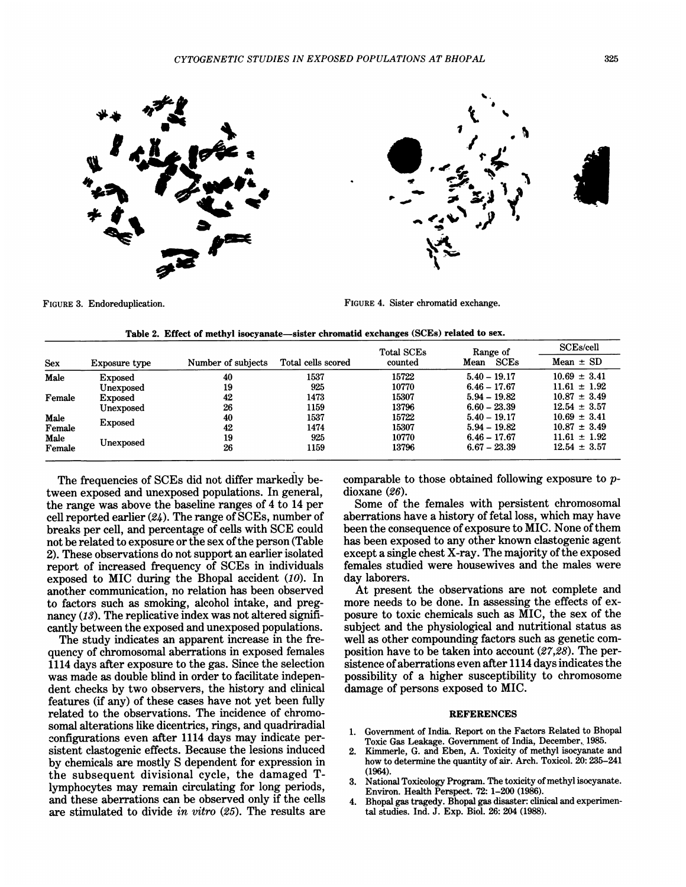



FIGURE 3. Endoreduplication.

FIGURE 4. Sister chromatid exchange.

|            |                |                    |                    | <b>Total SCEs</b> | Range of       | <b>SCEs/cell</b> |  |
|------------|----------------|--------------------|--------------------|-------------------|----------------|------------------|--|
| <b>Sex</b> | Exposure type  | Number of subjects | Total cells scored | counted           | SCEs<br>Mean   | $Mean \pm SD$    |  |
| Male       | <b>Exposed</b> | 40                 | 1537               | 15722             | $5.40 - 19.17$ | $10.69 \pm 3.41$ |  |
|            | Unexposed      | 19                 | 925                | 10770             | $6.46 - 17.67$ | $11.61 \pm 1.92$ |  |
| Female     | <b>Exposed</b> | 42                 | 1473               | 15307             | $5.94 - 19.82$ | $10.87 \pm 3.49$ |  |
|            | Unexposed      | 26                 | 1159               | 13796             | $6.60 - 23.39$ | $12.54 \pm 3.57$ |  |
| Male       |                | 40                 | 1537               | 15722             | $5.40 - 19.17$ | $10.69 \pm 3.41$ |  |
| Female     | <b>Exposed</b> | 42                 | 1474               | 15307             | $5.94 - 19.82$ | $10.87 \pm 3.49$ |  |
| Male       |                | 19                 | 925                | 10770             | $6.46 - 17.67$ | $11.61 \pm 1.92$ |  |
| Female     | Unexposed      | 26                 | 1159               | 13796             | $6.67 - 23.39$ | $12.54 \pm 3.57$ |  |

|  |  |  | Table 2.  Effect of methyl isocyanate—sister chromatid exchanges (SCEs) related to sex. |  |  |  |  |  |  |
|--|--|--|-----------------------------------------------------------------------------------------|--|--|--|--|--|--|
|--|--|--|-----------------------------------------------------------------------------------------|--|--|--|--|--|--|

The frequencies of SCEs did not differ markedly between exposed and unexposed populations. In general, the range was above the baseline ranges of 4 to 14 per cell reported earlier (24). The range of SCEs, number of breaks per cell, and percentage of cells with SCE could not be related to exposure or the sex of the person (Table 2). These observations do not support an earlier isolated report of increased frequency of SCEs in individuals exposed to MIC during the Bhopal accident (10). In another communication, no relation has been observed to factors such as smoking, alcohol intake, and pregnancy (13). The replicative index was not altered significantly between the exposed and unexposed populations.

The study indicates an apparent increase in the frequency of chromosomal aberrations in exposed females 1114 days after exposure to the gas. Since the selection was made as double blind in order to facilitate independent checks by two observers, the history and clinical features (if any) of these cases have not yet been fully related to the observations. The incidence of chromosomal alterations like dicentrics, rings, and quadriradial configurations even after 1114 days may indicate persistent clastogenic effects. Because the lesions induced by chemicals are mostly S dependent for expression in the subsequent divisional cycle, the damaged Tlymphocytes may remain circulating for long periods, and these aberrations can be observed only if the cells are stimulated to divide in vitro (25). The results are comparable to those obtained following exposure to pdioxane (26).

Some of the females with persistent chromosomal aberrations have a history of fetal loss, which may have been the consequence of exposure to MIC. None of them has been exposed to any other known clastogenic agent except a single chest X-ray. The majority of the exposed females studied were housewives and the males were day laborers.

At present the observations are not complete and more needs to be done. In assessing the effects of exposure to toxic chemicals such as MIC, the sex of the subject and the physiological and nutritional status as well as other compounding factors such as genetic composition have to be taken into account (27,28). The persistence of aberrations even after 1114 days indicates the possibility of a higher susceptibility to chromosome damage of persons exposed to MIC.

#### REFERENCES

- 1. Government of India. Report on the Factors Related to Bhopal Toxic Gas Leakage. Government of India, December. 1985.
- 2. Kimmerle, G. and Eben, A. Toxicity of methyl isocyanate and how to determine the quantity of air. Arch. Toxicol. 20: 235-241 (1964).
- 3. National Toxicology Program. The toxicity of methyl isocyanate. Environ. Health Perspect. 72: 1-200 (1986).
- 4. Bhopal gas tragedy. Bhopal gas disaster: clinical and experimental studies. Ind. J. Exp. Biol. 26: 204 (1988).